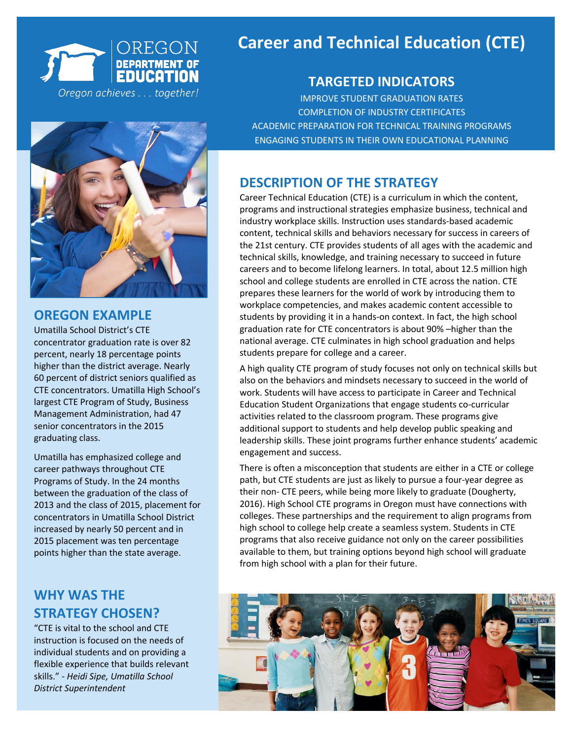

### **OREGON EXAMPLE**

Umatilla School District's CTE concentrator graduation rate is over 82 percent, nearly 18 percentage points higher than the district average. Nearly 60 percent of district seniors qualified as CTE concentrators. Umatilla High School's largest CTE Program of Study, Business Management Administration, had 47 senior concentrators in the 2015 graduating class.

Umatilla has emphasized college and career pathways throughout CTE Programs of Study. In the 24 months between the graduation of the class of 2013 and the class of 2015, placement for concentrators in Umatilla School District increased by nearly 50 percent and in 2015 placement was ten percentage points higher than the state average.

## **WHY WAS THE STRATEGY CHOSEN?**

"CTE is vital to the school and CTE instruction is focused on the needs of individual students and on providing a flexible experience that builds relevant skills." - *Heidi Sipe, Umatilla School District Superintendent*

# **Career and Technical Education (CTE) Education**

## **TARGETED INDICATORS TARGETED INDICATORS**

**IMPROVE STUDENT GRADUATION RATES IMPROVE STUDENT GRADUATION RATES** COMPLETION OF INDUSTRY CERTIFICATES ACADEMIC PREPARATION FOR TECHNICAL TRAINING PROGRAMS ENGAGING STUDENTS IN THEIR OWN EDUCATIONAL PLANNING

## **DESCRIPTION OF THE STRATEGY**

Career Technical Education (CTE) is a curriculum in which the content, programs and instructional strategies emphasize business, technical and industry workplace skills. Instruction uses standards-based academic content, technical skills and behaviors necessary for success in careers of the 21st century. CTE provides students of all ages with the academic and technical skills, knowledge, and training necessary to succeed in future careers and to become lifelong learners. In total, about 12.5 million high school and college students are enrolled in CTE across the nation. CTE prepares these learners for the world of work by introducing them to workplace competencies, and makes academic content accessible to students by providing it in a hands-on context. In fact, the high school graduation rate for CTE concentrators is about 90% –higher than the national average. CTE culminates in high school graduation and helps students prepare for college and a career.

A high quality CTE program of study focuses not only on technical skills but also on the behaviors and mindsets necessary to succeed in the world of work. Students will have access to participate in Career and Technical Education Student Organizations that engage students co-curricular activities related to the classroom program. These programs give additional support to students and help develop public speaking and leadership skills. These joint programs further enhance students' academic engagement and success.

There is often a misconception that students are either in a CTE or college path, but CTE students are just as likely to pursue a four-year degree as their non- CTE peers, while being more likely to graduate (Dougherty, 2016). High School CTE programs in Oregon must have connections with colleges. These partnerships and the requirement to align programs from high school to college help create a seamless system. Students in CTE programs that also receive guidance not only on the career possibilities available to them, but training options beyond high school will graduate from high school with a plan for their future.